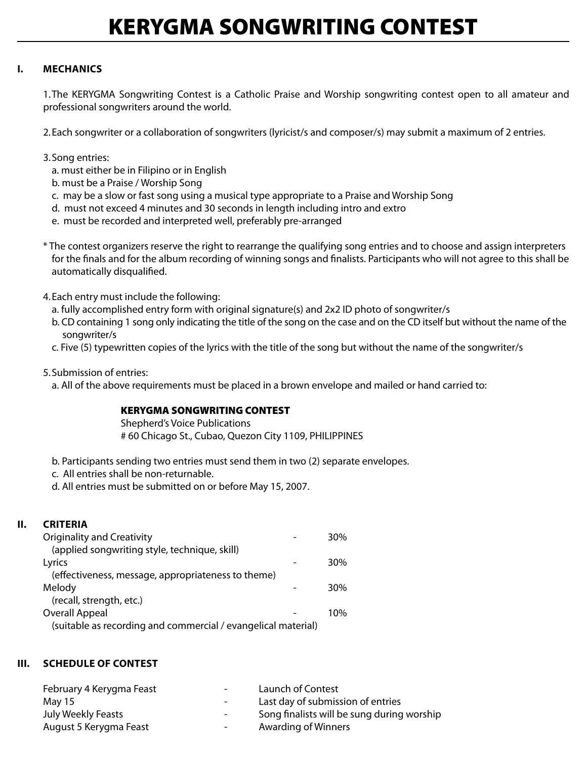# KERYGMA SONGWRITING CONTEST

## **I. Mechanics**

1. The KERYGMA Songwriting Contest is a Catholic Praise and Worship songwriting contest open to all amateur and professional songwriters around the world.

2. Each songwriter or a collaboration of songwriters (lyricist/s and composer/s) may submit a maximum of 2 entries.

- 3. Song entries:
	- a. must either be in Filipino or in English
	- b. must be a Praise / Worship Song
	- c. may be a slow or fast song using a musical type appropriate to a Praise and Worship Song
	- d. must not exceed 4 minutes and 30 seconds in length including intro and extro
	- e. must be recorded and interpreted well, preferably pre-arranged
- \* The contest organizers reserve the right to rearrange the qualifying song entries and to choose and assign interpreters for the finals and for the album recording of winning songs and finalists. Participants who will not agree to this shall be automatically disqualified.
- 4. Each entry must include the following:
	- a. fully accomplished entry form with original signature(s) and 2x2 ID photo of songwriter/s
	- b. CD containing 1 song only indicating the title of the song on the case and on the CD itself but without the name of the songwriter/s
	- c. Five (5) typewritten copies of the lyrics with the title of the song but without the name of the songwriter/s
- 5. Submission of entries:
	- a. All of the above requirements must be placed in a brown envelope and mailed or hand carried to:

#### KERYGMA SONGWRITING CONTEST

 Shepherd's Voice Publications # 60 Chicago St., Cubao, Quezon City 1109, PHILIPPINES

- b. Participants sending two entries must send them in two (2) separate envelopes.
- c. All entries shall be non-returnable.
- d. All entries must be submitted on or before May 15, 2007.

### **II. Criteria**

| <b>Originality and Creativity</b>                             | 30% |
|---------------------------------------------------------------|-----|
| (applied songwriting style, technique, skill)                 |     |
| Lyrics                                                        | 30% |
| (effectiveness, message, appropriateness to theme)            |     |
| Melody                                                        | 30% |
| (recall, strength, etc.)                                      |     |
| Overall Appeal                                                | 10% |
| (suitable as recording and commercial / evangelical material) |     |

### **III. SCHEDULE of Contest**

| Launch of Contest                          |
|--------------------------------------------|
| Last day of submission of entries          |
| Song finalists will be sung during worship |
| Awarding of Winners                        |
|                                            |